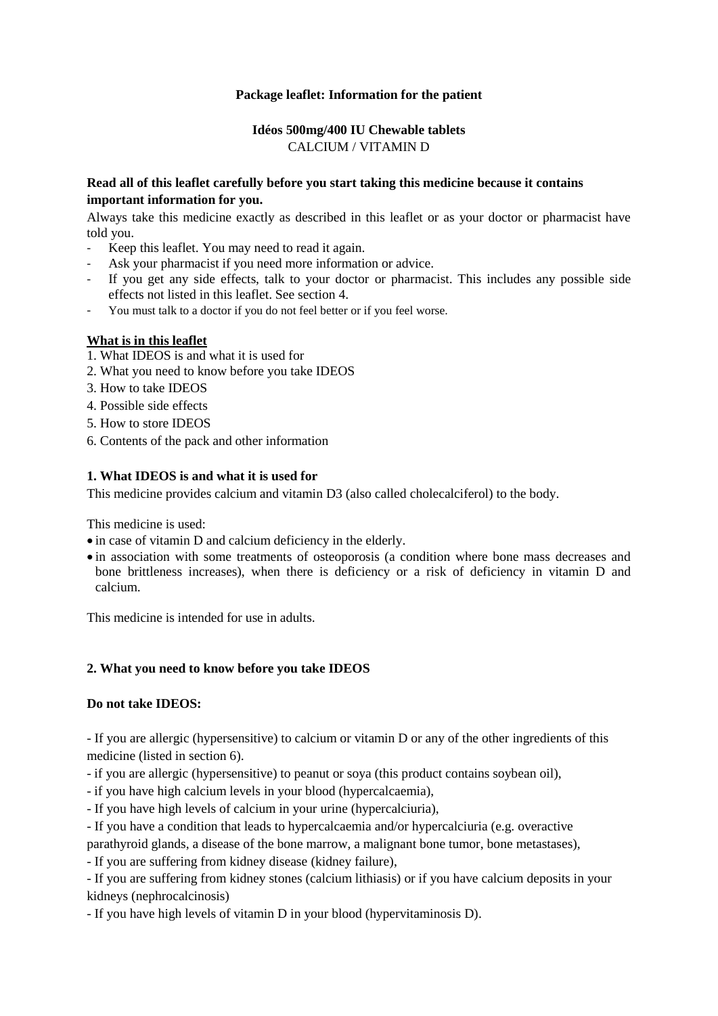# **Package leaflet: Information for the patient**

# **Idéos 500mg/400 IU Chewable tablets** CALCIUM / VITAMIN D

# **Read all of this leaflet carefully before you start taking this medicine because it contains important information for you.**

Always take this medicine exactly as described in this leaflet or as your doctor or pharmacist have told you.

- Keep this leaflet. You may need to read it again.
- Ask your pharmacist if you need more information or advice.
- If you get any side effects, talk to your doctor or pharmacist. This includes any possible side effects not listed in this leaflet. See section 4.
- You must talk to a doctor if you do not feel better or if you feel worse.

## **What is in this leaflet**

- 1. What IDEOS is and what it is used for
- 2. What you need to know before you take IDEOS
- 3. How to take IDEOS
- 4. Possible side effects
- 5. How to store IDEOS
- 6. Contents of the pack and other information

# **1. What IDEOS is and what it is used for**

This medicine provides calcium and vitamin D3 (also called cholecalciferol) to the body.

This medicine is used:

- $\bullet$  in case of vitamin D and calcium deficiency in the elderly.
- in association with some treatments of osteoporosis (a condition where bone mass decreases and bone brittleness increases), when there is deficiency or a risk of deficiency in vitamin D and calcium.

This medicine is intended for use in adults.

## **2. What you need to know before you take IDEOS**

## **Do not take IDEOS:**

- If you are allergic (hypersensitive) to calcium or vitamin D or any of the other ingredients of this medicine (listed in section 6).

- if you are allergic (hypersensitive) to peanut or soya (this product contains soybean oil),

- if you have high calcium levels in your blood (hypercalcaemia),

- If you have high levels of calcium in your urine (hypercalciuria),

- If you have a condition that leads to hypercalcaemia and/or hypercalciuria (e.g. overactive

parathyroid glands, a disease of the bone marrow, a malignant bone tumor, bone metastases),

- If you are suffering from kidney disease (kidney failure),

- If you are suffering from kidney stones (calcium lithiasis) or if you have calcium deposits in your kidneys (nephrocalcinosis)

- If you have high levels of vitamin D in your blood (hypervitaminosis D).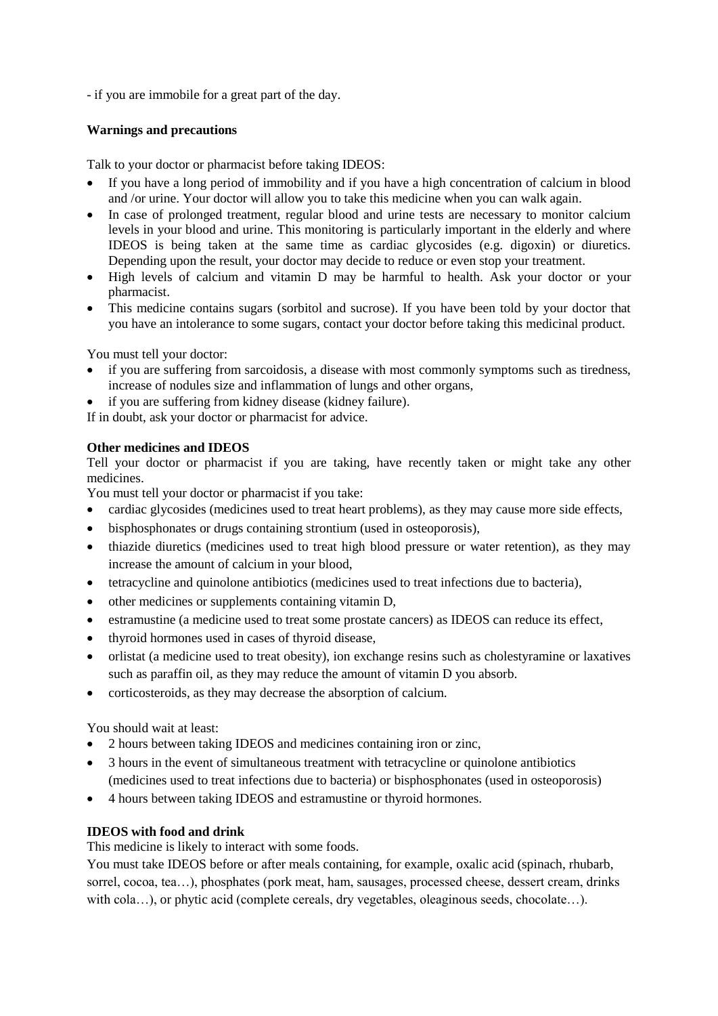- if you are immobile for a great part of the day.

# **Warnings and precautions**

Talk to your doctor or pharmacist before taking IDEOS:

- If you have a long period of immobility and if you have a high concentration of calcium in blood and /or urine. Your doctor will allow you to take this medicine when you can walk again.
- In case of prolonged treatment, regular blood and urine tests are necessary to monitor calcium levels in your blood and urine. This monitoring is particularly important in the elderly and where IDEOS is being taken at the same time as cardiac glycosides (e.g. digoxin) or diuretics. Depending upon the result, your doctor may decide to reduce or even stop your treatment.
- High levels of calcium and vitamin D may be harmful to health. Ask your doctor or your pharmacist.
- This medicine contains sugars (sorbitol and sucrose). If you have been told by your doctor that you have an intolerance to some sugars, contact your doctor before taking this medicinal product.

You must tell your doctor:

- if you are suffering from sarcoidosis, a disease with most commonly symptoms such as tiredness, increase of nodules size and inflammation of lungs and other organs,
- if you are suffering from kidney disease (kidney failure).

If in doubt, ask your doctor or pharmacist for advice.

# **Other medicines and IDEOS**

Tell your doctor or pharmacist if you are taking, have recently taken or might take any other medicines.

You must tell your doctor or pharmacist if you take:

- cardiac glycosides (medicines used to treat heart problems), as they may cause more side effects,
- bisphosphonates or drugs containing strontium (used in osteoporosis),
- thiazide diuretics (medicines used to treat high blood pressure or water retention), as they may increase the amount of calcium in your blood,
- tetracycline and quinolone antibiotics (medicines used to treat infections due to bacteria),
- other medicines or supplements containing vitamin D,
- estramustine (a medicine used to treat some prostate cancers) as IDEOS can reduce its effect,
- thyroid hormones used in cases of thyroid disease,
- orlistat (a medicine used to treat obesity), ion exchange resins such as cholestyramine or laxatives such as paraffin oil, as they may reduce the amount of vitamin D you absorb.
- corticosteroids, as they may decrease the absorption of calcium.

You should wait at least:

- 2 hours between taking IDEOS and medicines containing iron or zinc,
- 3 hours in the event of simultaneous treatment with tetracycline or quinolone antibiotics (medicines used to treat infections due to bacteria) or bisphosphonates (used in osteoporosis)
- 4 hours between taking IDEOS and estramustine or thyroid hormones.

# **IDEOS with food and drink**

This medicine is likely to interact with some foods.

You must take IDEOS before or after meals containing, for example, oxalic acid (spinach, rhubarb, sorrel, cocoa, tea...), phosphates (pork meat, ham, sausages, processed cheese, dessert cream, drinks with cola…), or phytic acid (complete cereals, dry vegetables, oleaginous seeds, chocolate…).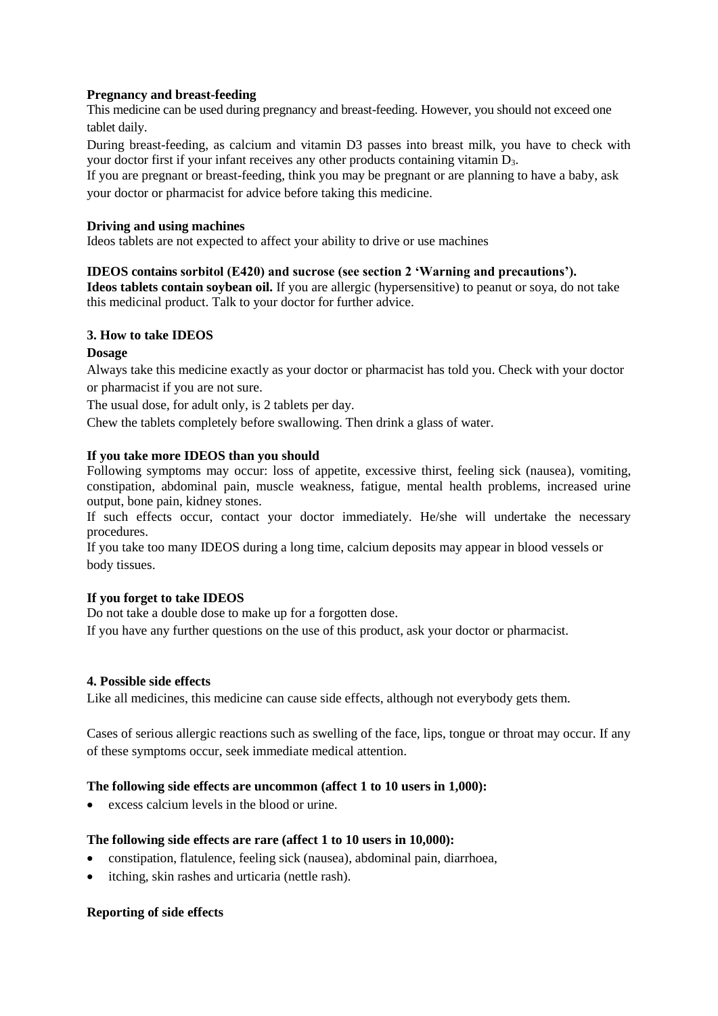# **Pregnancy and breast-feeding**

This medicine can be used during pregnancy and breast-feeding. However, you should not exceed one tablet daily.

During breast-feeding, as calcium and vitamin D3 passes into breast milk, you have to check with your doctor first if your infant receives any other products containing vitamin D3.

If you are pregnant or breast-feeding, think you may be pregnant or are planning to have a baby, ask your doctor or pharmacist for advice before taking this medicine.

## **Driving and using machines**

Ideos tablets are not expected to affect your ability to drive or use machines

## **IDEOS contains sorbitol (E420) and sucrose (see section 2 'Warning and precautions').**

**Ideos tablets contain soybean oil.** If you are allergic (hypersensitive) to peanut or soya, do not take this medicinal product. Talk to your doctor for further advice.

## **3. How to take IDEOS**

#### **Dosage**

Always take this medicine exactly as your doctor or pharmacist has told you. Check with your doctor or pharmacist if you are not sure.

The usual dose, for adult only, is 2 tablets per day.

Chew the tablets completely before swallowing. Then drink a glass of water.

#### **If you take more IDEOS than you should**

Following symptoms may occur: loss of appetite, excessive thirst, feeling sick (nausea), vomiting, constipation, abdominal pain, muscle weakness, fatigue, mental health problems, increased urine output, bone pain, kidney stones.

If such effects occur, contact your doctor immediately. He/she will undertake the necessary procedures.

If you take too many IDEOS during a long time, calcium deposits may appear in blood vessels or body tissues.

## **If you forget to take IDEOS**

Do not take a double dose to make up for a forgotten dose.

If you have any further questions on the use of this product, ask your doctor or pharmacist.

## **4. Possible side effects**

Like all medicines, this medicine can cause side effects, although not everybody gets them.

Cases of serious allergic reactions such as swelling of the face, lips, tongue or throat may occur. If any of these symptoms occur, seek immediate medical attention.

## **The following side effects are uncommon (affect 1 to 10 users in 1,000):**

excess calcium levels in the blood or urine.

## **The following side effects are rare (affect 1 to 10 users in 10,000):**

- constipation, flatulence, feeling sick (nausea), abdominal pain, diarrhoea,
- itching, skin rashes and urticaria (nettle rash).

## **Reporting of side effects**